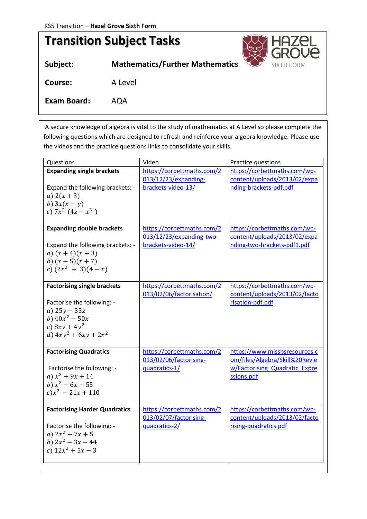*Tasks below are to be completed before September 2020*

## **Transition Subject Tasks Subject: Mathematics/Further Mathematics** SIXT **Course:** A Level **Exam Board:** AQA

A secure knowledge of algebra is vital to the study of mathematics at A Level so please complete the following questions which are designed to refresh and reinforce your algebra knowledge. Please use the videos and the practice questions links to consolidate your skills.

| Questions                                                                                                                                            | Video                                                                        | Practice questions                                                                                             |
|------------------------------------------------------------------------------------------------------------------------------------------------------|------------------------------------------------------------------------------|----------------------------------------------------------------------------------------------------------------|
| <b>Expanding single brackets</b><br>Expand the following brackets: -<br>a) $2(x + 3)$<br>b) $3x(x-y)$<br>c) $7x^2$ $(4z - x^3)$                      | https://corbettmaths.com/2<br>013/12/23/expanding-<br>brackets-video-13/     | https://corbettmaths.com/wp-<br>content/uploads/2013/02/expa<br>nding-brackets-pdf.pdf                         |
| <b>Expanding double brackets</b><br>Expand the following brackets: -<br>a) $(x+4)(x+3)$<br>b) $(x-5)(x+7)$<br>c) $(2x^2 + 3)(4-x)$                   | https://corbettmaths.com/2<br>013/12/23/expanding-two-<br>brackets-video-14/ | https://corbettmaths.com/wp-<br>content/uploads/2013/02/expa<br>nding-two-brackets-pdf1.pdf                    |
| <b>Factorising single brackets</b><br>Factorise the following: -<br>a) $25y - 35z$<br>b) $40x^2 - 50x$<br>c) $8xy + 4y^2$<br>d) $4xy^2 + 6xy + 2x^2$ | https://corbettmaths.com/2<br>013/02/06/factorisation/                       | https://corbettmaths.com/wp-<br>content/uploads/2013/02/facto<br>risation-pdf.pdf                              |
| <b>Factorising Quadratics</b><br>Factorise the following: -<br>a) $x^2 + 9x + 14$<br>b) $x^2 - 6x - 55$<br>$c)x^2 - 21x + 110$                       | https://corbettmaths.com/2<br>013/02/06/factorising-<br>quadratics-1/        | https://www.missbsresources.c<br>om/files/Algebra/Skill%20Revie<br>w/Factorising Quadratic Expre<br>ssions.pdf |
| <b>Factorising Harder Quadratics</b><br>Factorise the following: -<br>a) $2x^2 + 7x + 5$<br>b) $2x^2 - 3x - 44$<br>c) $12x^2 + 5x - 3$               | https://corbettmaths.com/2<br>013/02/07/factorising-<br>quadratics-2/        | https://corbettmaths.com/wp-<br>content/uploads/2013/02/facto<br>rising-quadratics.pdf                         |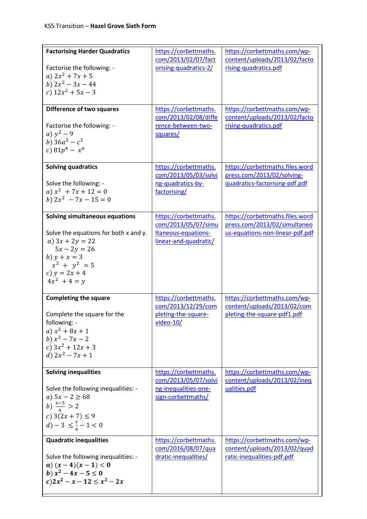| <b>Factorising Harder Quadratics</b><br>Factorise the following: -<br>a) $2x^2 + 7x + 5$<br>b) $2x^2 - 3x - 44$<br>c) $12x^2 + 5x - 3$<br>Difference of two squares                      | https://corbettmaths.<br>com/2013/02/07/fact<br>orising-quadratics-2/<br>https://corbettmaths.<br>com/2013/02/08/diffe<br>rence-between-two- | https://corbettmaths.com/wp-<br>content/uploads/2013/02/facto<br>rising-quadratics.pdf<br>https://corbettmaths.com/wp-<br>content/uploads/2013/02/facto<br>rising-quadratics.pdf |
|------------------------------------------------------------------------------------------------------------------------------------------------------------------------------------------|----------------------------------------------------------------------------------------------------------------------------------------------|----------------------------------------------------------------------------------------------------------------------------------------------------------------------------------|
| Factorise the following: -<br>a) $y^2 - 9$<br>b) $36a^2 - c^2$<br>c) $81p^4 - x^6$                                                                                                       | squares/                                                                                                                                     |                                                                                                                                                                                  |
| Solving quadratics<br>Solve the following: -<br>a) $x^2 + 7x + 12 = 0$<br>b) $2x^2 - 7x - 15 = 0$                                                                                        | https://corbettmaths.<br>com/2013/05/03/solvi<br>ng-quadratics-by-<br>factorising/                                                           | https://corbettmaths.files.word<br>press.com/2013/02/solving-<br>quadratics-factorising-pdf.pdf                                                                                  |
| Solving simultaneous equations<br>Solve the equations for both x and y.<br>a) $3x + 2y = 22$<br>$5x - 2y = 26$<br>b) $y + x = 3$<br>$x^2 + y^2 = 5$<br>c) $y = 2x + 4$<br>$4x^2 + 4 = y$ | https://corbettmaths.<br>com/2013/05/07/simu<br>Itaneous-equations-<br>linear-and-quadratic/                                                 | https://corbettmaths.files.word<br>press.com/2013/02/simultaneo<br>us-equations-non-linear-pdf.pdf                                                                               |
| <b>Completing the square</b><br>Complete the square for the<br>following: -<br>a) $x^2 + 8x + 1$<br>b) $x^2 - 7x - 2$<br>c) $3x^2 + 12x + 3$<br>d) $2x^2 - 7x + 1$                       | https://corbettmaths.<br>com/2013/12/29/com<br>pleting-the-square-<br>video-10/                                                              | https://corbettmaths.com/wp-<br>content/uploads/2013/02/com<br>pleting-the-square-pdf1.pdf                                                                                       |
| <b>Solving inequalities</b><br>Solve the following inequalities: -<br>a) $5x - 2 \ge 68$<br>b) $\frac{x-5}{4} > 2$<br>c) $3(2x + 7) \le 9$<br>$d$ ) – 3 $\leq \frac{x}{4}$ – 1 < 0       | https://corbettmaths.<br>com/2013/05/07/solvi<br>ng-inequalities-one-<br>sign-corbettmaths/                                                  | https://corbettmaths.com/wp-<br>content/uploads/2013/02/ineq<br>ualities.pdf                                                                                                     |
| <b>Quadratic inequalities</b><br>Solve the following inequalities: -<br>a) $(x-4)(x-1) < 0$<br>b) $x^2 - 4x - 5 \le 0$<br>$c) 2x^2 - x - 12 \le x^2 - 2x$                                | https://corbettmaths.<br>com/2016/08/07/qua<br>dratic-inequalities/                                                                          | https://corbettmaths.com/wp-<br>content/uploads/2013/02/quad<br>ratic-inequalities-pdf.pdf                                                                                       |